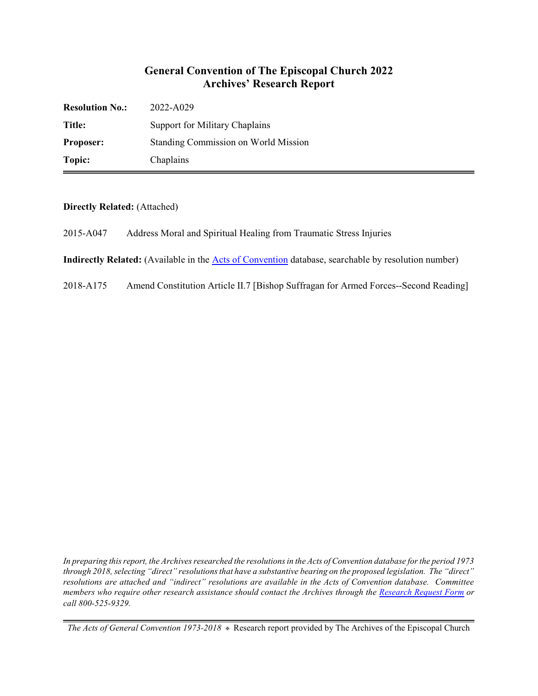## **General Convention of The Episcopal Church 2022 Archives' Research Report**

| <b>Resolution No.:</b> | 2022-A029                            |
|------------------------|--------------------------------------|
| Title:                 | Support for Military Chaplains       |
| Proposer:              | Standing Commission on World Mission |
| Topic:                 | Chaplains                            |

**Directly Related:** (Attached)

2015-A047 Address Moral and Spiritual Healing from Traumatic Stress Injuries

**Indirectly Related:** (Available in the [Acts of Convention](https://www.episcopalarchives.org/e-archives/acts/) database, searchable by resolution number)

2018-A175 Amend Constitution Article II.7 [Bishop Suffragan for Armed Forces--Second Reading]

*In preparing this report, the Archives researched the resolutions in the Acts of Convention database for the period 1973 through 2018, selecting "direct" resolutions that have a substantive bearing on the proposed legislation. The "direct" resolutions are attached and "indirect" resolutions are available in the Acts of Convention database. Committee members who require other research assistance should contact the Archives through the Research [Request Form](https://www.episcopalarchives.org/contact/research-request-form) or call 800-525-9329.*

*The Acts of General Convention 1973-2018*  $*$  Research report provided by The Archives of the Episcopal Church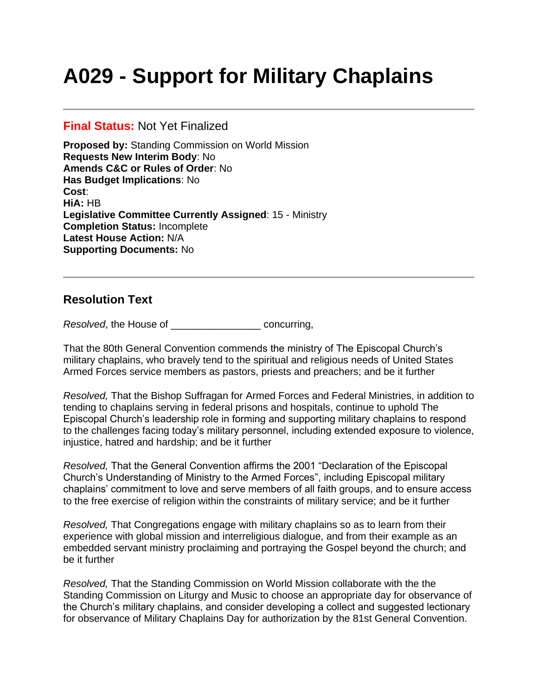# **A029 - Support for Military Chaplains**

#### **Final Status:** Not Yet Finalized

**Proposed by:** Standing Commission on World Mission **Requests New Interim Body**: No **Amends C&C or Rules of Order**: No **Has Budget Implications**: No **Cost**: **HiA:** HB **Legislative Committee Currently Assigned**: 15 - Ministry **Completion Status:** Incomplete **Latest House Action:** N/A **Supporting Documents:** No

## **Resolution Text**

*Resolved*, the House of \_\_\_\_\_\_\_\_\_\_\_\_\_\_\_\_ concurring,

That the 80th General Convention commends the ministry of The Episcopal Church's military chaplains, who bravely tend to the spiritual and religious needs of United States Armed Forces service members as pastors, priests and preachers; and be it further

*Resolved,* That the Bishop Suffragan for Armed Forces and Federal Ministries, in addition to tending to chaplains serving in federal prisons and hospitals, continue to uphold The Episcopal Church's leadership role in forming and supporting military chaplains to respond to the challenges facing today's military personnel, including extended exposure to violence, injustice, hatred and hardship; and be it further

*Resolved,* That the General Convention affirms the 2001 "Declaration of the Episcopal Church's Understanding of Ministry to the Armed Forces", including Episcopal military chaplains' commitment to love and serve members of all faith groups, and to ensure access to the free exercise of religion within the constraints of military service; and be it further

*Resolved,* That Congregations engage with military chaplains so as to learn from their experience with global mission and interreligious dialogue, and from their example as an embedded servant ministry proclaiming and portraying the Gospel beyond the church; and be it further

*Resolved,* That the Standing Commission on World Mission collaborate with the the Standing Commission on Liturgy and Music to choose an appropriate day for observance of the Church's military chaplains, and consider developing a collect and suggested lectionary for observance of Military Chaplains Day for authorization by the 81st General Convention.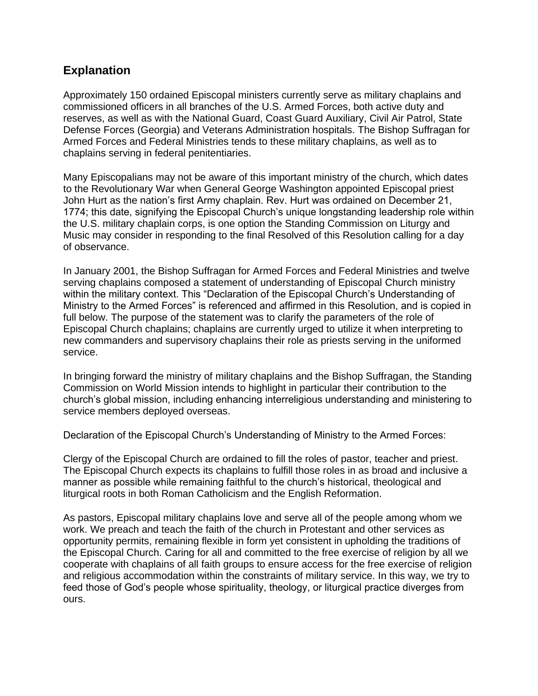# **Explanation**

Approximately 150 ordained Episcopal ministers currently serve as military chaplains and commissioned officers in all branches of the U.S. Armed Forces, both active duty and reserves, as well as with the National Guard, Coast Guard Auxiliary, Civil Air Patrol, State Defense Forces (Georgia) and Veterans Administration hospitals. The Bishop Suffragan for Armed Forces and Federal Ministries tends to these military chaplains, as well as to chaplains serving in federal penitentiaries.

Many Episcopalians may not be aware of this important ministry of the church, which dates to the Revolutionary War when General George Washington appointed Episcopal priest John Hurt as the nation's first Army chaplain. Rev. Hurt was ordained on December 21, 1774; this date, signifying the Episcopal Church's unique longstanding leadership role within the U.S. military chaplain corps, is one option the Standing Commission on Liturgy and Music may consider in responding to the final Resolved of this Resolution calling for a day of observance.

In January 2001, the Bishop Suffragan for Armed Forces and Federal Ministries and twelve serving chaplains composed a statement of understanding of Episcopal Church ministry within the military context. This "Declaration of the Episcopal Church's Understanding of Ministry to the Armed Forces" is referenced and affirmed in this Resolution, and is copied in full below. The purpose of the statement was to clarify the parameters of the role of Episcopal Church chaplains; chaplains are currently urged to utilize it when interpreting to new commanders and supervisory chaplains their role as priests serving in the uniformed service.

In bringing forward the ministry of military chaplains and the Bishop Suffragan, the Standing Commission on World Mission intends to highlight in particular their contribution to the church's global mission, including enhancing interreligious understanding and ministering to service members deployed overseas.

Declaration of the Episcopal Church's Understanding of Ministry to the Armed Forces:

Clergy of the Episcopal Church are ordained to fill the roles of pastor, teacher and priest. The Episcopal Church expects its chaplains to fulfill those roles in as broad and inclusive a manner as possible while remaining faithful to the church's historical, theological and liturgical roots in both Roman Catholicism and the English Reformation.

As pastors, Episcopal military chaplains love and serve all of the people among whom we work. We preach and teach the faith of the church in Protestant and other services as opportunity permits, remaining flexible in form yet consistent in upholding the traditions of the Episcopal Church. Caring for all and committed to the free exercise of religion by all we cooperate with chaplains of all faith groups to ensure access for the free exercise of religion and religious accommodation within the constraints of military service. In this way, we try to feed those of God's people whose spirituality, theology, or liturgical practice diverges from ours.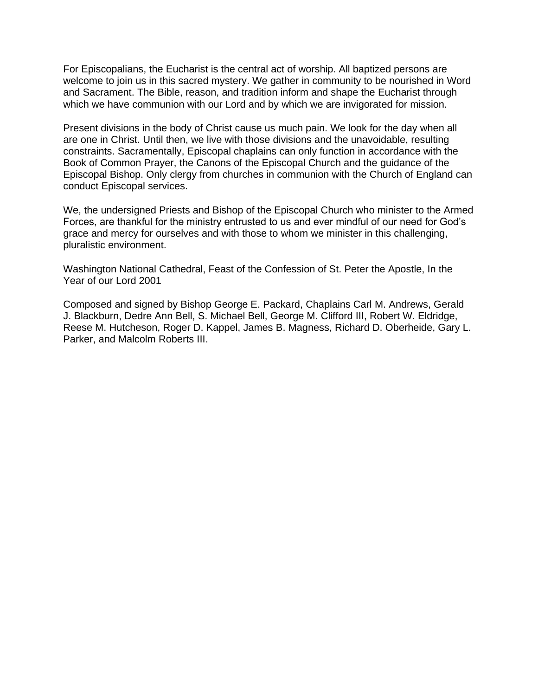For Episcopalians, the Eucharist is the central act of worship. All baptized persons are welcome to join us in this sacred mystery. We gather in community to be nourished in Word and Sacrament. The Bible, reason, and tradition inform and shape the Eucharist through which we have communion with our Lord and by which we are invigorated for mission.

Present divisions in the body of Christ cause us much pain. We look for the day when all are one in Christ. Until then, we live with those divisions and the unavoidable, resulting constraints. Sacramentally, Episcopal chaplains can only function in accordance with the Book of Common Prayer, the Canons of the Episcopal Church and the guidance of the Episcopal Bishop. Only clergy from churches in communion with the Church of England can conduct Episcopal services.

We, the undersigned Priests and Bishop of the Episcopal Church who minister to the Armed Forces, are thankful for the ministry entrusted to us and ever mindful of our need for God's grace and mercy for ourselves and with those to whom we minister in this challenging, pluralistic environment.

Washington National Cathedral, Feast of the Confession of St. Peter the Apostle, In the Year of our Lord 2001

Composed and signed by Bishop George E. Packard, Chaplains Carl M. Andrews, Gerald J. Blackburn, Dedre Ann Bell, S. Michael Bell, George M. Clifford III, Robert W. Eldridge, Reese M. Hutcheson, Roger D. Kappel, James B. Magness, Richard D. Oberheide, Gary L. Parker, and Malcolm Roberts III.